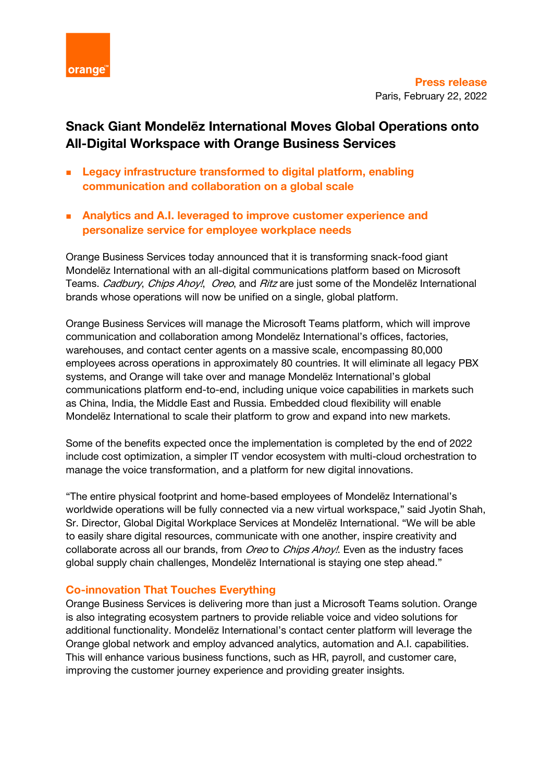

# **Snack Giant Mondelēz International Moves Global Operations onto All-Digital Workspace with Orange Business Services**

- <sup>◼</sup> **Legacy infrastructure transformed to digital platform, enabling communication and collaboration on a global scale**
- Analytics and A.I. leveraged to improve customer experience and **personalize service for employee workplace needs**

Orange Business Services today announced that it is transforming snack-food giant Mondelēz International with an all-digital communications platform based on Microsoft Teams. Cadbury, Chips Ahoy!, Oreo, and Ritz are just some of the Mondelez International brands whose operations will now be unified on a single, global platform.

Orange Business Services will manage the Microsoft Teams platform, which will improve communication and collaboration among Mondelēz International's offices, factories, warehouses, and contact center agents on a massive scale, encompassing 80,000 employees across operations in approximately 80 countries. It will eliminate all legacy PBX systems, and Orange will take over and manage Mondelēz International's global communications platform end-to-end, including unique voice capabilities in markets such as China, India, the Middle East and Russia. Embedded cloud flexibility will enable Mondelēz International to scale their platform to grow and expand into new markets.

Some of the benefits expected once the implementation is completed by the end of 2022 include cost optimization, a simpler IT vendor ecosystem with multi-cloud orchestration to manage the voice transformation, and a platform for new digital innovations.

"The entire physical footprint and home-based employees of Mondelēz International's worldwide operations will be fully connected via a new virtual workspace," said Jyotin Shah, Sr. Director, Global Digital Workplace Services at Mondelēz International. "We will be able to easily share digital resources, communicate with one another, inspire creativity and collaborate across all our brands, from Oreo to Chips Ahoy!. Even as the industry faces global supply chain challenges, Mondelēz International is staying one step ahead."

## **Co-innovation That Touches Everything**

Orange Business Services is delivering more than just a Microsoft Teams solution. Orange is also integrating ecosystem partners to provide reliable voice and video solutions for additional functionality. Mondelēz International's contact center platform will leverage the Orange global network and employ advanced analytics, automation and A.I. capabilities. This will enhance various business functions, such as HR, payroll, and customer care, improving the customer journey experience and providing greater insights.